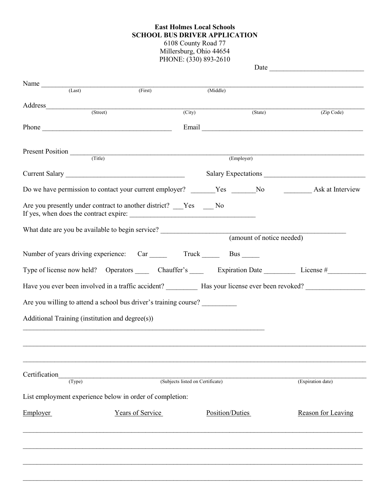## **East Holmes Local Schools SCHOOL BUS DRIVER APPLICATION** 6108 County Road 77 Millersburg, Ohio 44654

PHONE: (330) 893-2610

| Name $\frac{1}{(Last)}$                                          | (First)          |                                  | (Middle)        |            |                    |  |
|------------------------------------------------------------------|------------------|----------------------------------|-----------------|------------|--------------------|--|
| (Street)                                                         |                  | $\overline{(City)}$              |                 | (State)    |                    |  |
|                                                                  |                  |                                  |                 |            | (Zip Code)         |  |
|                                                                  |                  |                                  |                 |            |                    |  |
|                                                                  |                  |                                  |                 |            |                    |  |
| Present Position (Title)                                         |                  |                                  |                 | (Employer) |                    |  |
|                                                                  |                  |                                  |                 |            |                    |  |
|                                                                  |                  |                                  |                 |            |                    |  |
| Are you presently under contract to another district?  Yes No    |                  |                                  |                 |            |                    |  |
|                                                                  |                  |                                  |                 |            |                    |  |
|                                                                  |                  |                                  |                 |            |                    |  |
|                                                                  |                  |                                  |                 |            |                    |  |
|                                                                  |                  |                                  |                 |            |                    |  |
|                                                                  |                  |                                  |                 |            |                    |  |
| Are you willing to attend a school bus driver's training course? |                  |                                  |                 |            |                    |  |
| Additional Training (institution and degree(s))                  |                  |                                  |                 |            |                    |  |
|                                                                  |                  |                                  |                 |            |                    |  |
|                                                                  |                  |                                  |                 |            |                    |  |
|                                                                  |                  |                                  |                 |            |                    |  |
| Certification<br>(Type)                                          |                  | (Subjects listed on Certificate) |                 |            | (Expiration date)  |  |
|                                                                  |                  |                                  |                 |            |                    |  |
| List employment experience below in order of completion:         |                  |                                  |                 |            |                    |  |
| <b>Employer</b>                                                  | Years of Service |                                  | Position/Duties |            | Reason for Leaving |  |
|                                                                  |                  |                                  |                 |            |                    |  |
|                                                                  |                  |                                  |                 |            |                    |  |
|                                                                  |                  |                                  |                 |            |                    |  |
|                                                                  |                  |                                  |                 |            |                    |  |
|                                                                  |                  |                                  |                 |            |                    |  |